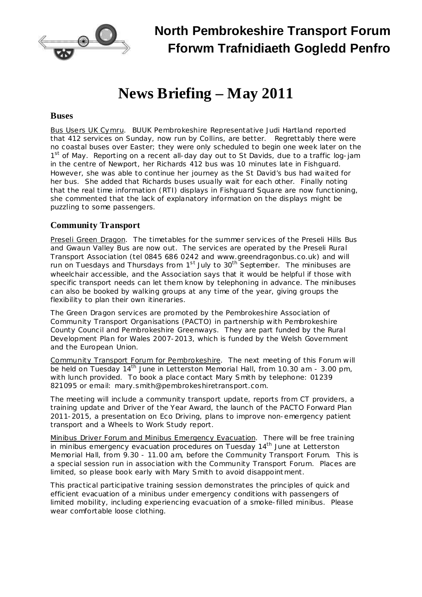

# **News Briefing – May 2011**

#### **Buses**

Bus Users UK Cymru. BUUK Pembrokeshire Representative Judi Hartland reported that 412 services on Sunday, now run by Collins, are better. Regrettably there were no coastal buses over Easter; they were only scheduled to begin one week later on the 1<sup>st</sup> of May. Reporting on a recent all-day day out to St Davids, due to a traffic log-jam in the centre of Newport, her Richards 412 bus was 10 minutes late in Fishguard. However, she was able to continue her journey as the St David's bus had waited for her bus. She added that Richards buses usually wait for each other. Finally noting that the real time information (RTI) displays in Fishguard Square are now functioning, she commented that the lack of explanatory information on the displays might be puzzling to some passengers.

## **Community Transport**

Preseli Green Dragon. The timetables for the summer services of the Preseli Hills Bus and Gwaun Valley Bus are now out. The services are operated by the Preseli Rural Transport Association (tel 0845 686 0242 and [www.greendragonbus.co.uk\)](http://www.greendragonbus.co.uk/) and will run on Tuesdays and Thursdays from 1<sup>st</sup> July to 30<sup>th</sup> September. The minibuses are wheelchair accessible, and the Association says that it would be helpful if those with specific transport needs can let them know by telephoning in advance. The minibuses can also be booked by walking groups at any time of the year, giving groups the flexibility to plan their own itineraries.

The Green Dragon services are promoted by the Pembrokeshire Association of Community Transport Organisations (PACTO) in partnership with Pembrokeshire County Council and Pembrokeshire Greenways. They are part funded by the Rural Development Plan for Wales 2007-2013, which is funded by the Welsh Government and the European Union.

Community Transport Forum for Pembrokeshire. The next meeting of this Forum will be held on Tuesday 14<sup>th</sup> June in Letterston Memorial Hall, from 10.30 am - 3.00 pm, with lunch provided. To book a place contact Mary Smith by telephone: 01239 821095 or email: [mary.smith@pembrokeshiretransport.com.](mailto:mary.smith@pembrokeshiretransport.com)

The meeting will include a community transport update, reports from CT providers, a training update and Driver of the Year Award, the launch of the PACTO Forward Plan 2011-2015, a presentation on Eco Driving, plans to improve non-emergency patient transport and a Wheels to Work Study report.

Minibus Driver Forum and Minibus Emergency Evacuation. There will be free training in minibus emergency evacuation procedures on Tuesday 14<sup>th</sup> June at Letterston Memorial Hall, from 9.30 - 11.00 am, before the Community Transport Forum. This is a special session run in association with the Community Transport Forum. Places are limited, so please book early with Mary Smith to avoid disappointment.

This practical participative training session demonstrates the principles of quick and efficient evacuation of a minibus under emergency conditions with passengers of limited mobility, including experiencing evacuation of a smoke-filled minibus. Please wear comfortable loose clothing.